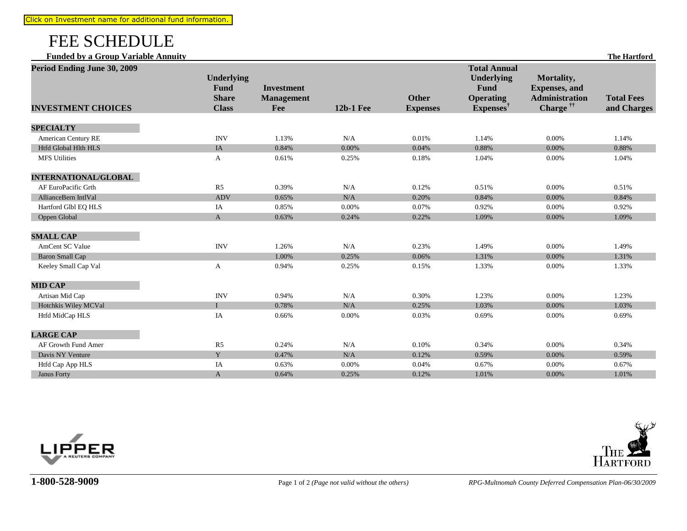## FEE SCHEDULE

**Funded by a Group Variable Annuity The Hartford**

| Period Ending June 30, 2009 | <b>Underlying</b>           |                                        |                  |                 | <b>Total Annual</b><br><b>Underlying</b> | Mortality,                                     |                   |
|-----------------------------|-----------------------------|----------------------------------------|------------------|-----------------|------------------------------------------|------------------------------------------------|-------------------|
|                             | <b>Fund</b><br><b>Share</b> | <b>Investment</b><br><b>Management</b> |                  | <b>Other</b>    | <b>Fund</b><br><b>Operating</b>          | <b>Expenses</b> , and<br><b>Administration</b> | <b>Total Fees</b> |
| <b>INVESTMENT CHOICES</b>   | <b>Class</b>                | Fee                                    | <b>12b-1 Fee</b> | <b>Expenses</b> | Expenses <sup>†</sup>                    | Charge <sup>##</sup>                           | and Charges       |
| <b>SPECIALTY</b>            |                             |                                        |                  |                 |                                          |                                                |                   |
| American Century RE         | <b>INV</b>                  | 1.13%                                  | N/A              | 0.01%           | 1.14%                                    | 0.00%                                          | 1.14%             |
| <b>Htfd Global Hlth HLS</b> | IA                          | 0.84%                                  | $0.00\%$         | 0.04%           | 0.88%                                    | $0.00\%$                                       | 0.88%             |
| <b>MFS</b> Utilities        | $\mathbf{A}$                | 0.61%                                  | 0.25%            | 0.18%           | 1.04%                                    | 0.00%                                          | 1.04%             |
| <b>INTERNATIONAL/GLOBAL</b> |                             |                                        |                  |                 |                                          |                                                |                   |
| AF EuroPacific Grth         | R <sub>5</sub>              | 0.39%                                  | N/A              | 0.12%           | 0.51%                                    | 0.00%                                          | 0.51%             |
| AllianceBern IntlVal        | <b>ADV</b>                  | 0.65%                                  | N/A              | 0.20%           | 0.84%                                    | 0.00%                                          | 0.84%             |
| Hartford Glbl EQ HLS        | IA                          | 0.85%                                  | 0.00%            | 0.07%           | 0.92%                                    | 0.00%                                          | 0.92%             |
| Oppen Global                | $\mathbf{A}$                | 0.63%                                  | 0.24%            | 0.22%           | 1.09%                                    | 0.00%                                          | 1.09%             |
| <b>SMALL CAP</b>            |                             |                                        |                  |                 |                                          |                                                |                   |
| <b>AmCent SC Value</b>      | <b>INV</b>                  | 1.26%                                  | N/A              | 0.23%           | 1.49%                                    | 0.00%                                          | 1.49%             |
| <b>Baron Small Cap</b>      |                             | 1.00%                                  | 0.25%            | 0.06%           | 1.31%                                    | 0.00%                                          | 1.31%             |
| Keeley Small Cap Val        | A                           | 0.94%                                  | 0.25%            | 0.15%           | 1.33%                                    | 0.00%                                          | 1.33%             |
| <b>MID CAP</b>              |                             |                                        |                  |                 |                                          |                                                |                   |
| Artisan Mid Cap             | <b>INV</b>                  | 0.94%                                  | N/A              | 0.30%           | 1.23%                                    | 0.00%                                          | 1.23%             |
| Hotchkis Wiley MCVal        | $\mathbf{I}$                | 0.78%                                  | N/A              | 0.25%           | 1.03%                                    | 0.00%                                          | 1.03%             |
| Htfd MidCap HLS             | IA                          | 0.66%                                  | 0.00%            | 0.03%           | 0.69%                                    | 0.00%                                          | 0.69%             |
| <b>LARGE CAP</b>            |                             |                                        |                  |                 |                                          |                                                |                   |
| AF Growth Fund Amer         | R5                          | 0.24%                                  | N/A              | 0.10%           | 0.34%                                    | 0.00%                                          | 0.34%             |
| Davis NY Venture            | Y                           | 0.47%                                  | N/A              | 0.12%           | 0.59%                                    | 0.00%                                          | 0.59%             |
| Htfd Cap App HLS            | IA                          | 0.63%                                  | 0.00%            | 0.04%           | 0.67%                                    | 0.00%                                          | 0.67%             |
| Janus Forty                 | $\mathbf{A}$                | 0.64%                                  | 0.25%            | 0.12%           | 1.01%                                    | 0.00%                                          | 1.01%             |